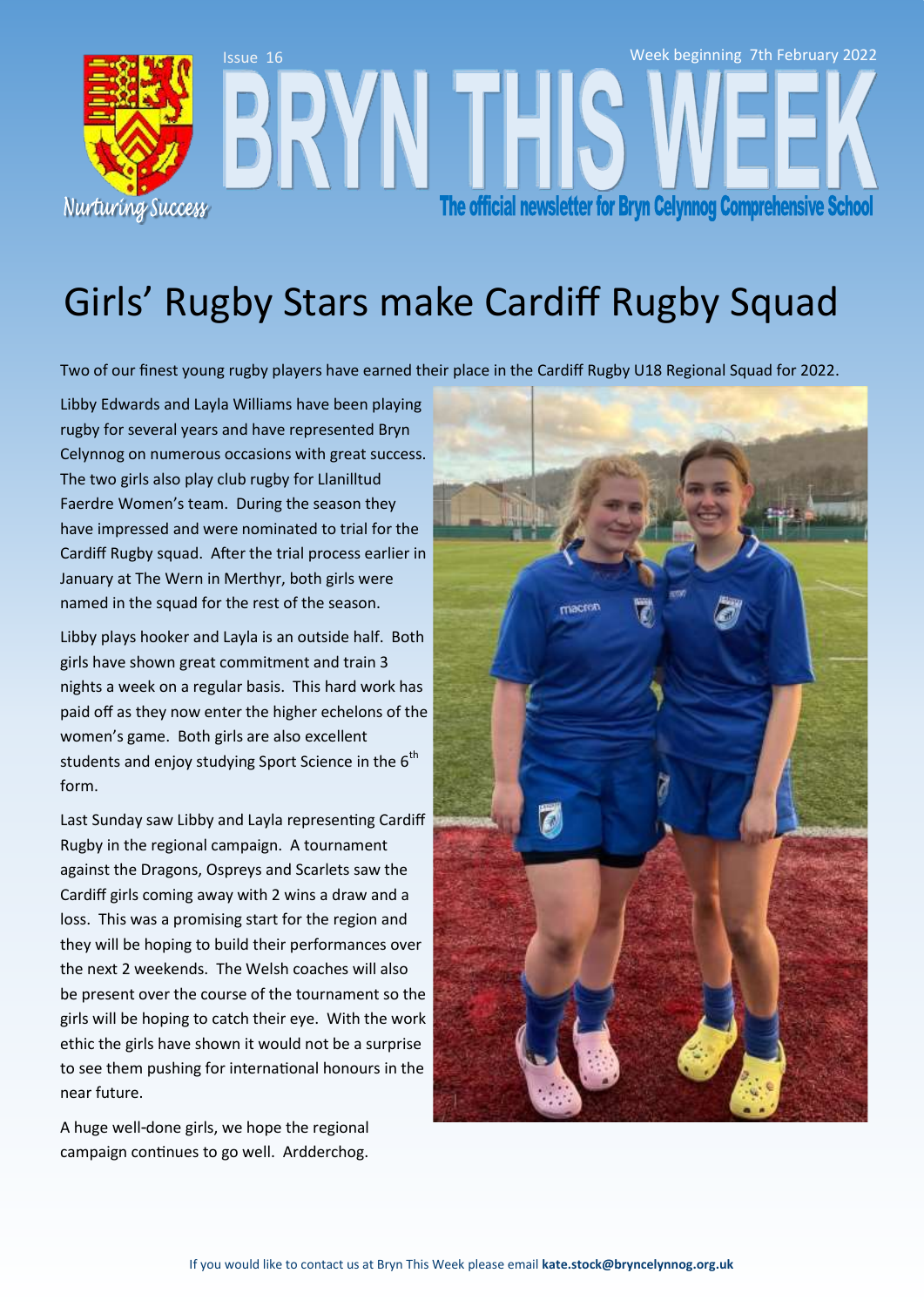

# Girls' Rugby Stars make Cardiff Rugby Squad

Two of our finest young rugby players have earned their place in the Cardiff Rugby U18 Regional Squad for 2022.

Libby Edwards and Layla Williams have been playing rugby for several years and have represented Bryn Celynnog on numerous occasions with great success. The two girls also play club rugby for Llanilltud Faerdre Women's team. During the season they have impressed and were nominated to trial for the Cardiff Rugby squad. After the trial process earlier in January at The Wern in Merthyr, both girls were named in the squad for the rest of the season.

Libby plays hooker and Layla is an outside half. Both girls have shown great commitment and train 3 nights a week on a regular basis. This hard work has paid off as they now enter the higher echelons of the women's game. Both girls are also excellent students and enjoy studying Sport Science in the  $6<sup>th</sup>$ form.

Last Sunday saw Libby and Layla representing Cardiff Rugby in the regional campaign. A tournament against the Dragons, Ospreys and Scarlets saw the Cardiff girls coming away with 2 wins a draw and a loss. This was a promising start for the region and they will be hoping to build their performances over the next 2 weekends. The Welsh coaches will also be present over the course of the tournament so the girls will be hoping to catch their eye. With the work ethic the girls have shown it would not be a surprise to see them pushing for international honours in the near future.

A huge well-done girls, we hope the regional campaign continues to go well. Ardderchog.

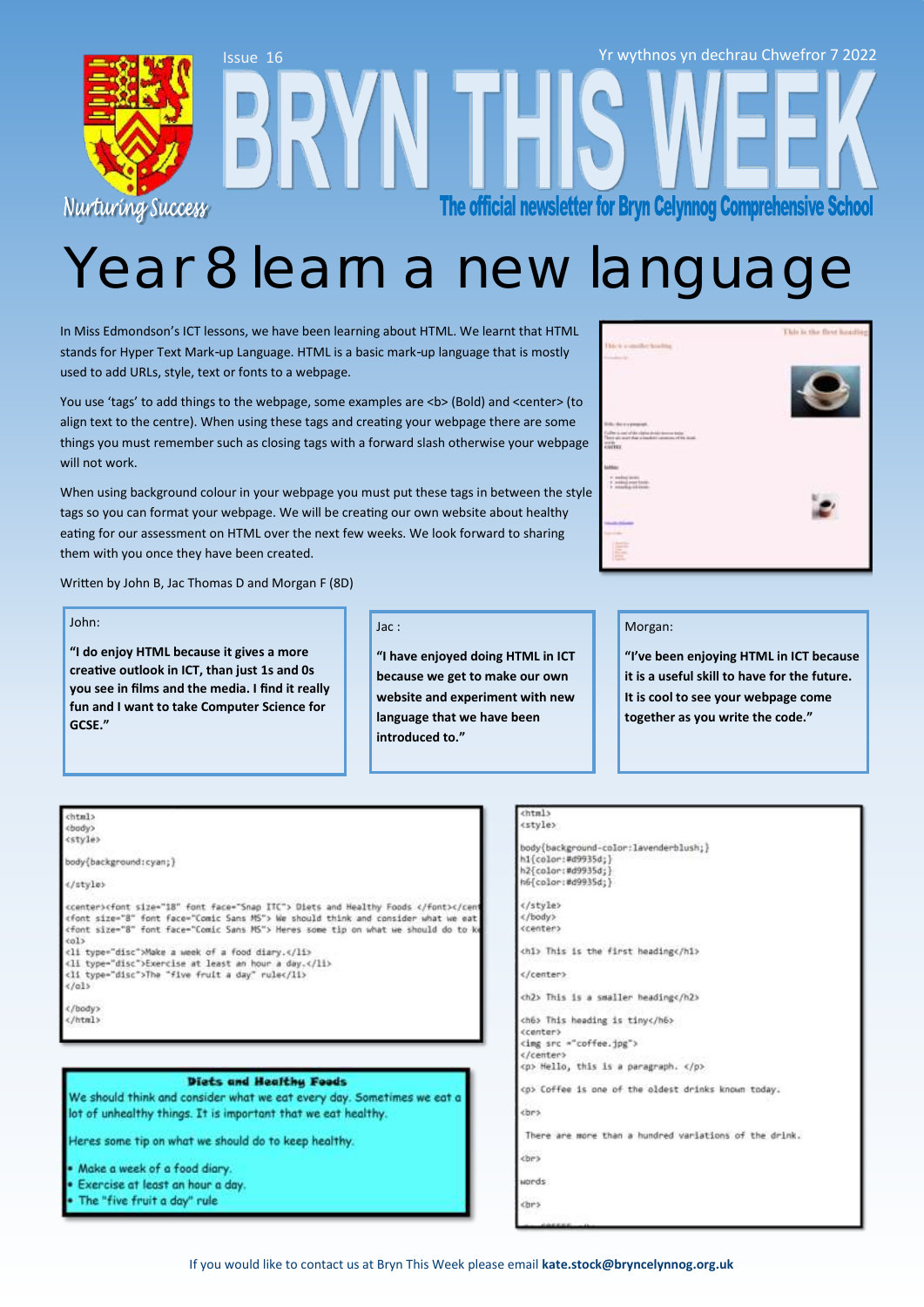

# Year 8 learn a new languag

In Miss Edmondson's ICT lessons, we have been learning about HTML. We learnt that HTML stands for Hyper Text Mark-up Language. HTML is a basic mark-up language that is mostly used to add URLs, style, text or fonts to a webpage.

You use 'tags' to add things to the webpage, some examples are <b> (Bold) and <center> (to align text to the centre). When using these tags and creating your webpage there are some things you must remember such as closing tags with a forward slash otherwise your webpage will not work.

When using background colour in your webpage you must put these tags in between the style tags so you can format your webpage. We will be creating our own website about healthy eating for our assessment on HTML over the next few weeks. We look forward to sharing them with you once they have been created.

Written by John B, Jac Thomas D and Morgan F (8D)

#### John:

**"I do enjoy HTML because it gives a more creative outlook in ICT, than just 1s and 0s you see in films and the media. I find it really fun and I want to take Computer Science for GCSE."**

### Jac :

**"I have enjoyed doing HTML in ICT because we get to make our own website and experiment with new language that we have been introduced to."** 

#### Morgan:

**"I've been enjoying HTML in ICT because it is a useful skill to have for the future. It is cool to see your webpage come together as you write the code."**

#### chtml> chody)

cstyle>

body{background:cyan;)

### </style>

ccenter>cfont size="18" font face="Snap ITC"> Diets and Healthy Foods </font></cen cfont size="8" font face="Comic Sans MS"> We should think and consider what we eat<br><font size="8" font face="Comic Sans MS"> Heres some tip on what we should do to k  $cols$ 

<li type="disc">Make a week of a food diary.</li> <11 type="disc">Exercise at least an hour a day.</11>

<11 type="disc">The "five fruit a day" rule</11>

 $\epsilon$ /ol>

 $c$  /hody)

### </html>

#### Diets and Healthy Foods

We should think and consider what we eat every day. Sometimes we eat a lot of unhealthy things. It is important that we eat healthy.

Heres some tip on what we should do to keep healthy.

- Make a week of a food diary.
- Exercise at least an hour a day
- The "five fruit a day" rule

#### $chtn1s$ <style>

body{background-color:lavenderblush;}<br>h1{color:#d9935d;} h2{color:#d9935d; h6{color:#d9935d;}

</style>  $\epsilon$ /body> <center>

chi> This is the first headings/hi>

</center>

ch2> This is a smaller heading</h2>

ch6> This heading is tiny</h6> <center>

<img src ="coffee.jpg"> </center> <p> Hello, this is a paragraph. </p>

cp> Coffee is one of the oldest drinks known today.

<br>

There are more than a hundred variations of the drink.

che)

wonds

<br >

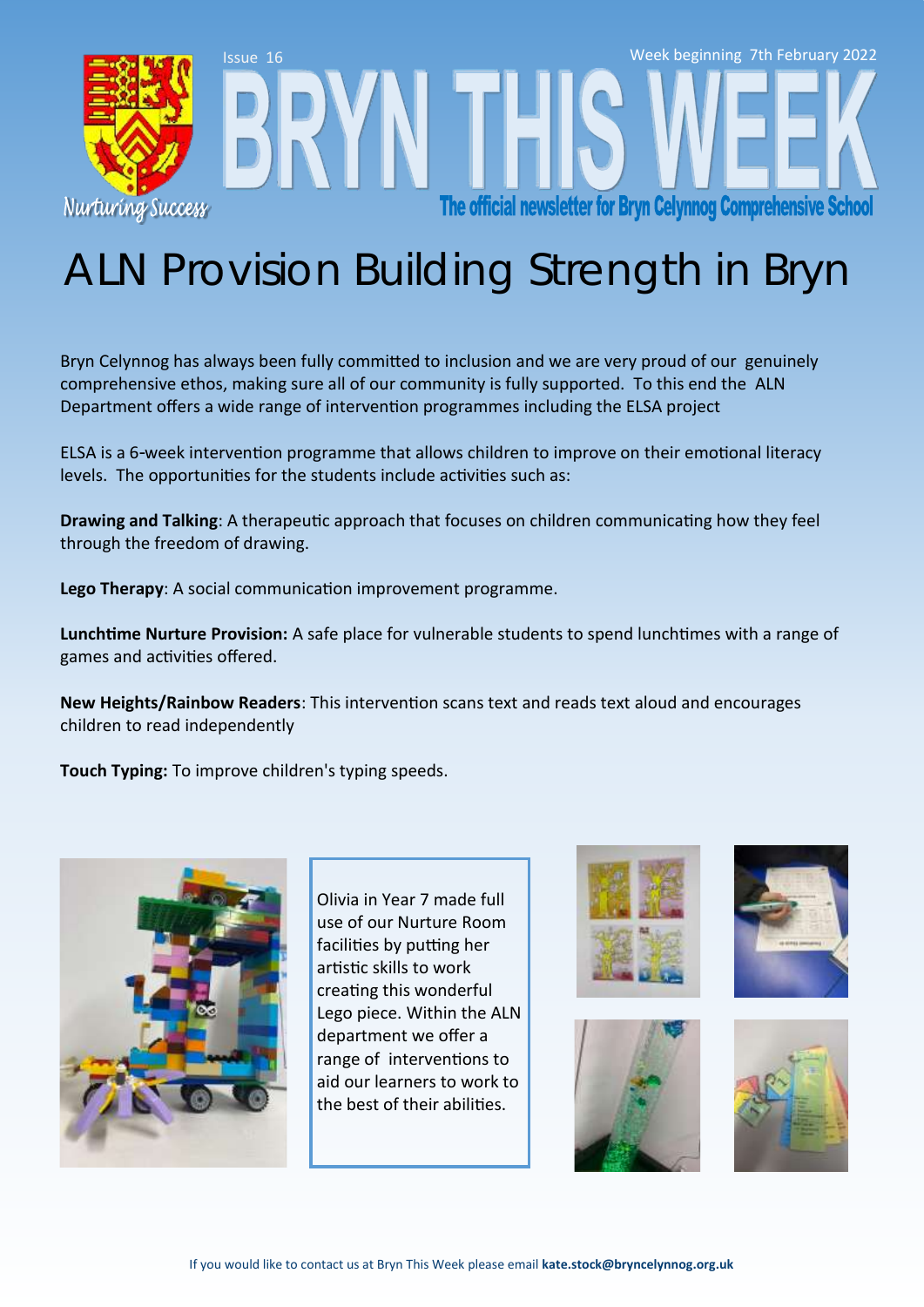

# ALN Provision Building Strength in Bryn

Bryn Celynnog has always been fully committed to inclusion and we are very proud of our genuinely comprehensive ethos, making sure all of our community is fully supported. To this end the ALN Department offers a wide range of intervention programmes including the ELSA project

ELSA is a 6-week intervention programme that allows children to improve on their emotional literacy levels. The opportunities for the students include activities such as:

**Drawing and Talking**: A therapeutic approach that focuses on children communicating how they feel through the freedom of drawing.

**Lego Therapy**: A social communication improvement programme.

**Lunchtime Nurture Provision:** A safe place for vulnerable students to spend lunchtimes with a range of games and activities offered.

**New Heights/Rainbow Readers**: This intervention scans text and reads text aloud and encourages children to read independently

**Touch Typing:** To improve children's typing speeds.



Olivia in Year 7 made full use of our Nurture Room facilities by putting her artistic skills to work creating this wonderful Lego piece. Within the ALN department we offer a range of interventions to aid our learners to work to the best of their abilities.







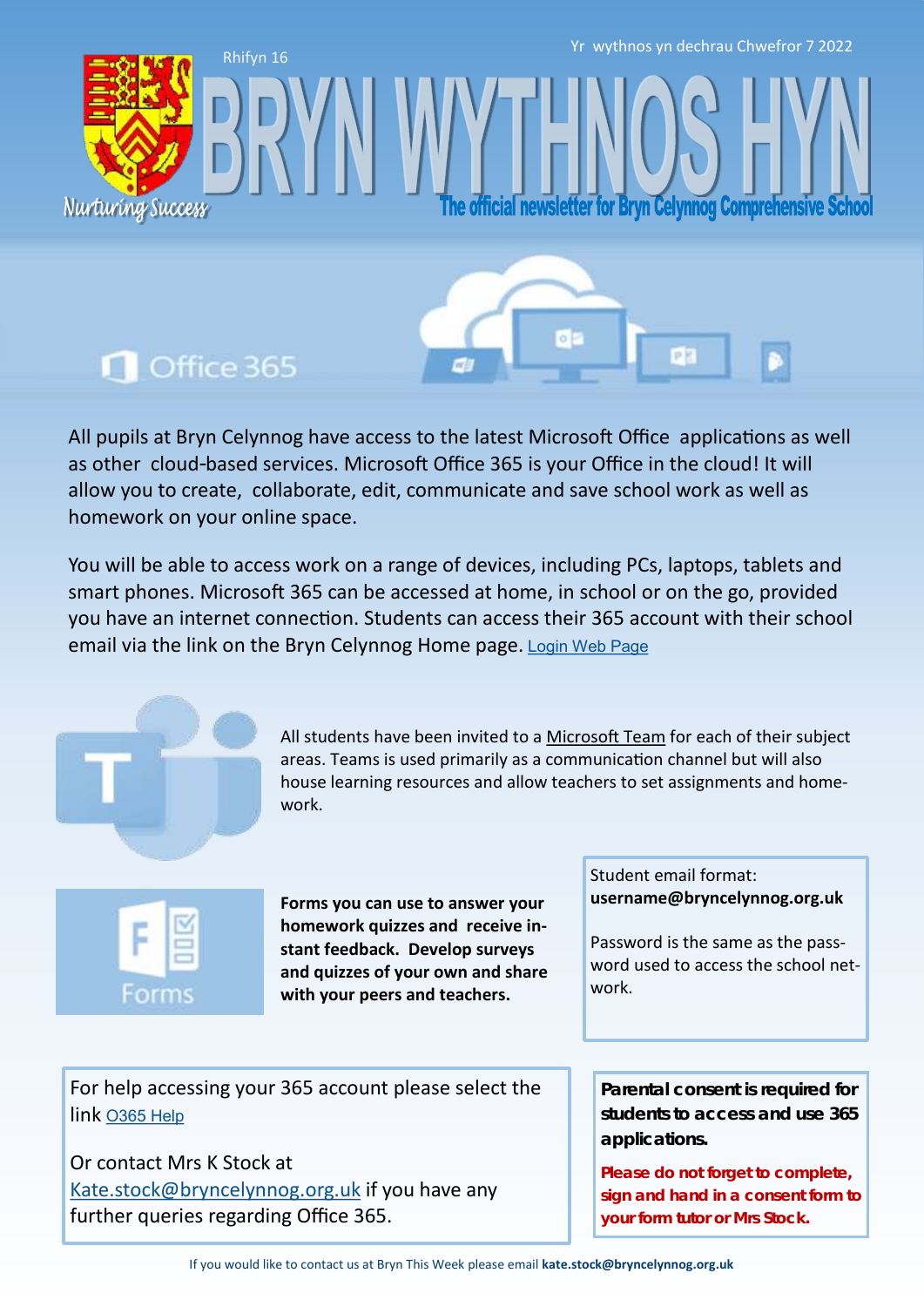Yr wythnos yn dechrau Chwefror 7 2022

fficial newsletter for Bryn Celynnog Comprehensive

### Office 365

Nurturing Success

Rhifyn 16

All pupils at Bryn Celynnog have access to the latest Microsoft Office applications as well as other cloud-based services. Microsoft Office 365 is your Office in the cloud! It will allow you to create, collaborate, edit, communicate and save school work as well as homework on your online space.

You will be able to access work on a range of devices, including PCs, laptops, tablets and smart phones. Microsoft 365 can be accessed at home, in school or on the go, provided you have an internet connection. Students can access their 365 account with their school email via the link on the Bryn Celynnog Home page. [Login Web Page](https://www.office.com/)



All students have been invited to a [Microsoft Team](https://teams.microsoft.com/edustart) for each of their subject areas. Teams is used primarily as a communication channel but will also house learning resources and allow teachers to set assignments and homework.



**Forms you can use to answer your homework quizzes and receive instant feedback. Develop surveys and quizzes of your own and share with your peers and teachers.** 

Student email format: **username@bryncelynnog.org.uk** 

Password is the same as the password used to access the school network.

For help accessing your 365 account please select the link [O365 Help](https://bryncelynnog.org.uk/wp-content/uploads/2021/09/Accessing-your-Office-365-Account.pdf)

Or contact Mrs K Stock at [Kate.stock@bryncelynnog.org.uk](mailto:kate.stock@bryncelynnog.orguk) if you have any further queries regarding Office 365.

**Parental consent is required for students to access and use 365 applications.**

**Please do not forget to complete, sign and hand in a consent form to your form tutor or Mrs Stock.**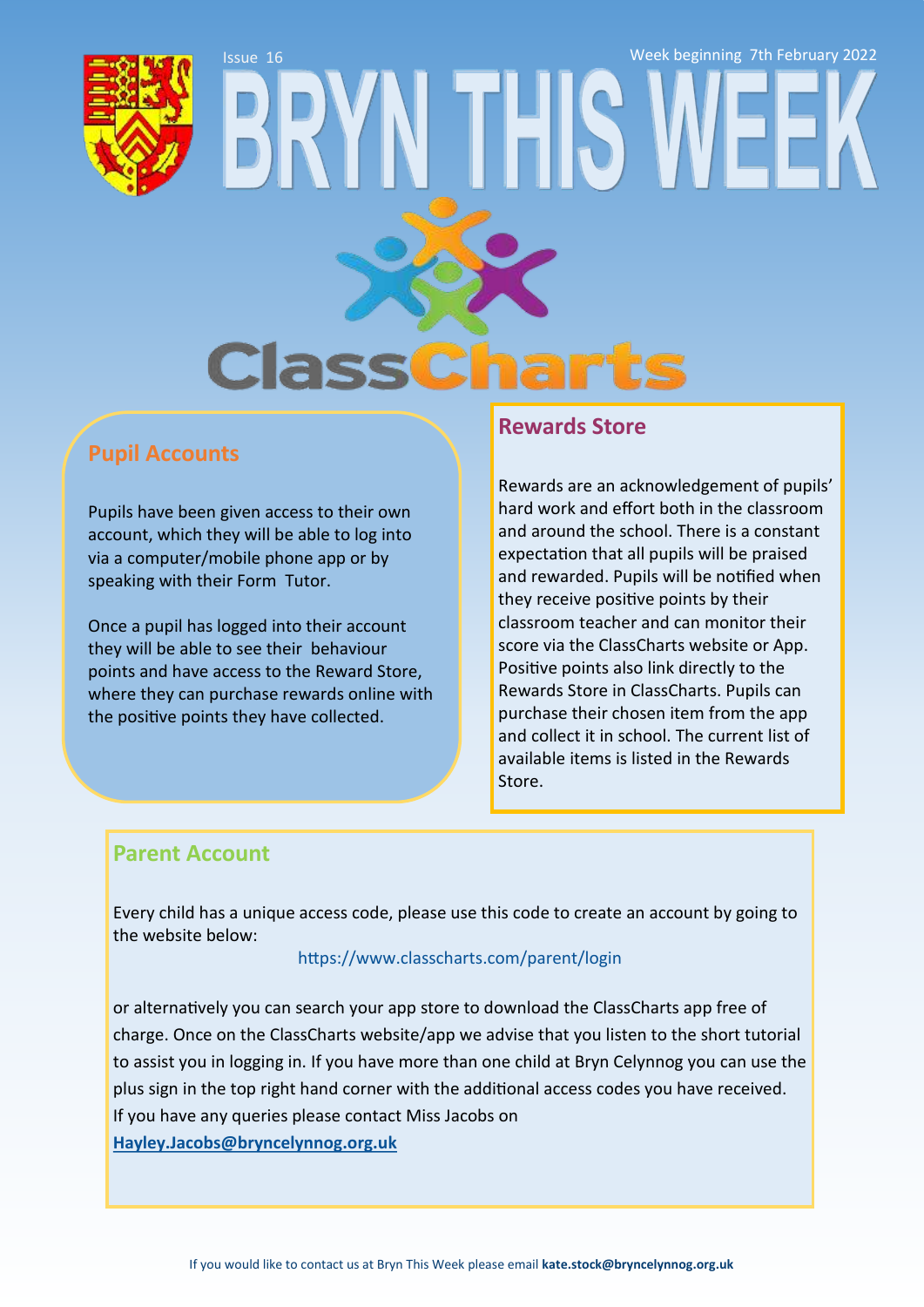

# Issue 16 Week beginning 7th February 2022**Class**

### **Pupil Accounts**

Pupils have been given access to their own account, which they will be able to log into via a computer/mobile phone app or by speaking with their Form Tutor.

Once a pupil has logged into their account they will be able to see their behaviour points and have access to the Reward Store, where they can purchase rewards online with the positive points they have collected.

### **Rewards Store**

Rewards are an acknowledgement of pupils' hard work and effort both in the classroom and around the school. There is a constant expectation that all pupils will be praised and rewarded. Pupils will be notified when they receive positive points by their classroom teacher and can monitor their score via the ClassCharts website or App. Positive points also link directly to the Rewards Store in ClassCharts. Pupils can purchase their chosen item from the app and collect it in school. The current list of available items is listed in the Rewards Store.

### **Parent Account**

Every child has a unique access code, please use this code to create an account by going to the website below:

### <https://www.classcharts.com/parent/login>

or alternatively you can search your app store to download the ClassCharts app free of charge. Once on the ClassCharts website/app we advise that you listen to the short tutorial to assist you in logging in. If you have more than one child at Bryn Celynnog you can use the plus sign in the top right hand corner with the additional access codes you have received. If you have any queries please contact Miss Jacobs on **[Hayley.Jacobs@bryncelynnog.org.uk](mailto:hayley.jacobs@bryncelynnog.org.uk)**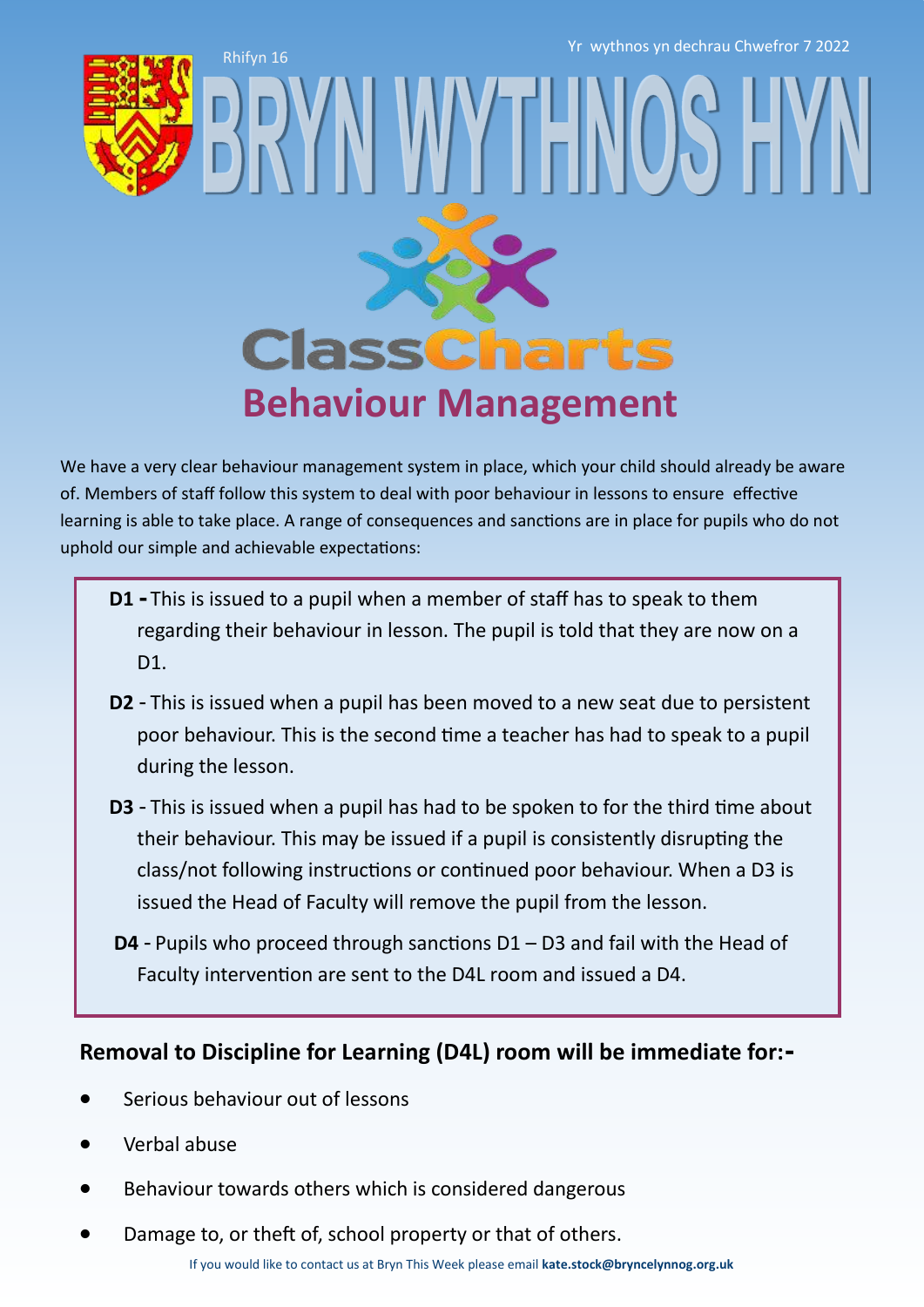Rhifyn 16 Yr wythnos yn dechrau Chwefror 7 2022



# **ClassCharts Behaviour Management**

WY IFN

We have a very clear behaviour management system in place, which your child should already be aware of. Members of staff follow this system to deal with poor behaviour in lessons to ensure effective learning is able to take place. A range of consequences and sanctions are in place for pupils who do not uphold our simple and achievable expectations:

- **D1 -** This is issued to a pupil when a member of staff has to speak to them regarding their behaviour in lesson. The pupil is told that they are now on a D<sub>1</sub>.
- **D2** This is issued when a pupil has been moved to a new seat due to persistent poor behaviour. This is the second time a teacher has had to speak to a pupil during the lesson.
- **D3**  This is issued when a pupil has had to be spoken to for the third time about their behaviour. This may be issued if a pupil is consistently disrupting the class/not following instructions or continued poor behaviour. When a D3 is issued the Head of Faculty will remove the pupil from the lesson.
- **D4** Pupils who proceed through sanctions D1 D3 and fail with the Head of Faculty intervention are sent to the D4L room and issued a D4.

### **Removal to Discipline for Learning (D4L) room will be immediate for:-**

- Serious behaviour out of lessons
- Verbal abuse
- Behaviour towards others which is considered dangerous
- Damage to, or theft of, school property or that of others.